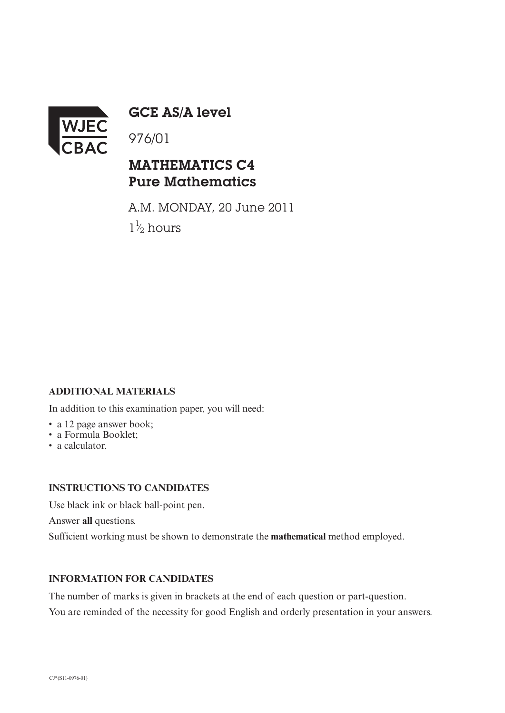

GCE AS/A level

## MATHEMATICS C4 Pure Mathematics

A.M. MONDAY, 20 June 2011  $1\frac{1}{2}$  hours ⁄

### **ADDITIONAL MATERIALS**

In addition to this examination paper, you will need:

- a 12 page answer book;
- a Formula Booklet;
- a calculator.

#### **INSTRUCTIONS TO CANDIDATES**

Use black ink or black ball-point pen.

Answer **all** questions.

Sufficient working must be shown to demonstrate the **mathematical** method employed.

#### **INFORMATION FOR CANDIDATES**

The number of marks is given in brackets at the end of each question or part-question. You are reminded of the necessity for good English and orderly presentation in your answers.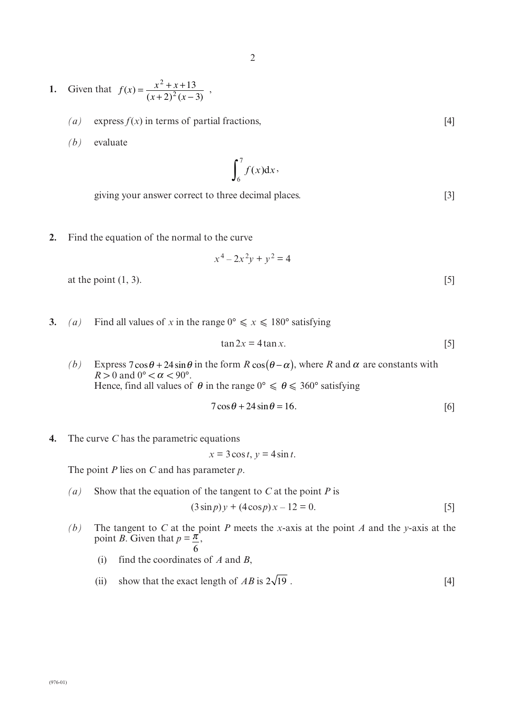- **1.** Given that  $f(x) = \frac{x^2 + x + 13}{(x 2)^2(x 3)}$ ,  $f(x) = \frac{x^2 + x + 13}{(x + 2)^2 (x - 3)}$ 2 2 13  $2)^2(x-3)$ 
	- $(a)$  express  $f(x)$  in terms of partial fractions, [4]
	- *(b)* evaluate

 $f(x)dx$  $\int_6^7 f(x) dx$ ,

giving your answer correct to three decimal places. [3]

**2.** Find the equation of the normal to the curve

$$
x^4 - 2x^2y + y^2 = 4
$$

at the point  $(1, 3)$ . [5]

**3.** *(a)* Find all values of *x* in the range  $0^{\circ} \le x \le 180^{\circ}$  satisfying

$$
\tan 2x = 4 \tan x. \tag{5}
$$

(b) Express  $7\cos\theta + 24\sin\theta$  in the form  $R\cos(\theta - \alpha)$ , where  $R$  and  $\alpha$  are constants with  $R > 0$  and  $0^{\circ} < \alpha < 90^{\circ}$ . Hence, find all values of  $\theta$  in the range  $0^{\circ} \le \theta \le 360^{\circ}$  satisfying

$$
7\cos\theta + 24\sin\theta = 16.\tag{6}
$$

**4.** The curve *C* has the parametric equations

 $x = 3\cos t$ ,  $y = 4\sin t$ .

The point *P* lies on *C* and has parameter *p*.

- *(a)* Show that the equation of the tangent to *C* at the point *P* is  $(3 \sin p) y + (4 \cos p) x - 12 = 0.$  [5]
- *(b)* The tangent to *C* at the point *P* meets the *x*-axis at the point *A* and the *y*-axis at the point *B*. Given that  $p = \frac{\pi}{n}$ , 6
	- (i) find the coordinates of *A* and *B*,
	- (ii) show that the exact length of  $AB$  is  $2\sqrt{19}$ . [4]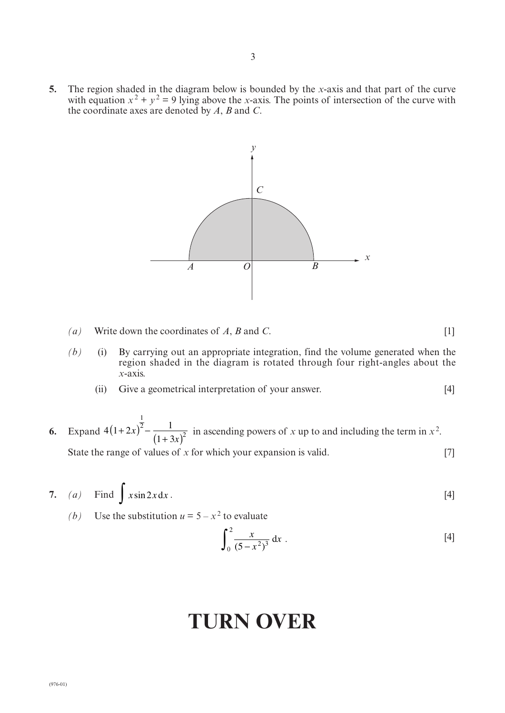**5.** The region shaded in the diagram below is bounded by the *x*-axis and that part of the curve with equation  $x^2 + y^2 = 9$  lying above the *x*-axis. The points of intersection of the curve with the coordinate axes are denoted by *A*, *B* and *C*.



- *(a)* Write down the coordinates of *A*, *B* and *C*. [1]
- *(b)* (i) By carrying out an appropriate integration, find the volume generated when the region shaded in the diagram is rotated through four right-angles about the *x*-axis.
	- (ii) Give a geometrical interpretation of your answer. [4]
- **6.** Expand  $4(1+2x)^2 \frac{1}{(1+3x)^2}$  in ascending powers of *x* up to and including the term in  $x^2$ . State the range of values of *x* for which your expansion is valid. [7] *x x* 1 2

7. (a) Find 
$$
\int x \sin 2x dx
$$
. [4]

*(b)* Use the substitution  $u = 5 - x^2$  to evaluate

$$
\int_0^2 \frac{x}{(5-x^2)^3} dx
$$
 [4]

# **TURN OVER**